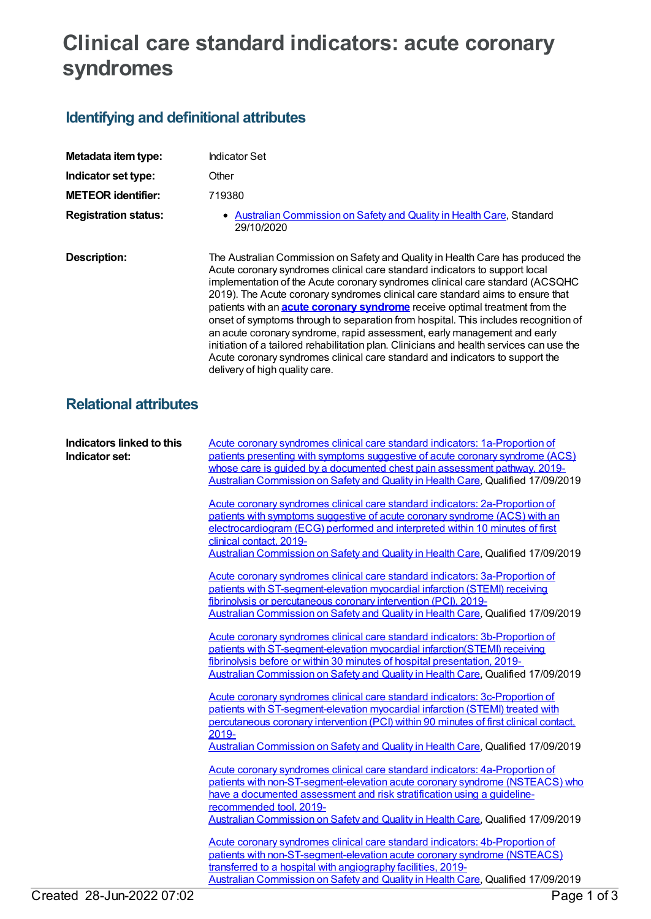## **Clinical care standard indicators: acute coronary syndromes**

## **Identifying and definitional attributes**

| Metadata item type:         | <b>Indicator Set</b>                                                                                                                                                                                                                                                                                                                                                                                                                                                                                                                                                                                                                                                                                                                                                                                      |
|-----------------------------|-----------------------------------------------------------------------------------------------------------------------------------------------------------------------------------------------------------------------------------------------------------------------------------------------------------------------------------------------------------------------------------------------------------------------------------------------------------------------------------------------------------------------------------------------------------------------------------------------------------------------------------------------------------------------------------------------------------------------------------------------------------------------------------------------------------|
| Indicator set type:         | Other                                                                                                                                                                                                                                                                                                                                                                                                                                                                                                                                                                                                                                                                                                                                                                                                     |
| <b>METEOR identifier:</b>   | 719380                                                                                                                                                                                                                                                                                                                                                                                                                                                                                                                                                                                                                                                                                                                                                                                                    |
| <b>Registration status:</b> | • Australian Commission on Safety and Quality in Health Care, Standard<br>29/10/2020                                                                                                                                                                                                                                                                                                                                                                                                                                                                                                                                                                                                                                                                                                                      |
| Description:                | The Australian Commission on Safety and Quality in Health Care has produced the<br>Acute coronary syndromes clinical care standard indicators to support local<br>implementation of the Acute coronary syndromes clinical care standard (ACSQHC<br>2019). The Acute coronary syndromes clinical care standard aims to ensure that<br>patients with an <b>acute coronary syndrome</b> receive optimal treatment from the<br>onset of symptoms through to separation from hospital. This includes recognition of<br>an acute coronary syndrome, rapid assessment, early management and early<br>initiation of a tailored rehabilitation plan. Clinicians and health services can use the<br>Acute coronary syndromes clinical care standard and indicators to support the<br>delivery of high quality care. |

## **Relational attributes**

| Indicators linked to this<br>Indicator set: | Acute coronary syndromes clinical care standard indicators: 1a-Proportion of<br>patients presenting with symptoms suggestive of acute coronary syndrome (ACS)<br>whose care is guided by a documented chest pain assessment pathway, 2019-<br>Australian Commission on Safety and Quality in Health Care, Qualified 17/09/2019                            |
|---------------------------------------------|-----------------------------------------------------------------------------------------------------------------------------------------------------------------------------------------------------------------------------------------------------------------------------------------------------------------------------------------------------------|
|                                             | Acute coronary syndromes clinical care standard indicators: 2a-Proportion of<br>patients with symptoms suggestive of acute coronary syndrome (ACS) with an<br>electrocardiogram (ECG) performed and interpreted within 10 minutes of first<br>clinical contact, 2019-<br>Australian Commission on Safety and Quality in Health Care, Qualified 17/09/2019 |
|                                             | Acute coronary syndromes clinical care standard indicators: 3a-Proportion of<br>patients with ST-segment-elevation myocardial infarction (STEMI) receiving<br>fibrinolysis or percutaneous coronary intervention (PCI), 2019-<br>Australian Commission on Safety and Quality in Health Care, Qualified 17/09/2019                                         |
|                                             | Acute coronary syndromes clinical care standard indicators: 3b-Proportion of<br>patients with ST-segment-elevation myocardial infarction(STEMI) receiving<br>fibrinolysis before or within 30 minutes of hospital presentation, 2019-<br>Australian Commission on Safety and Quality in Health Care, Qualified 17/09/2019                                 |
|                                             | Acute coronary syndromes clinical care standard indicators: 3c-Proportion of<br>patients with ST-segment-elevation myocardial infarction (STEMI) treated with<br>percutaneous coronary intervention (PCI) within 90 minutes of first clinical contact,<br>2019-<br>Australian Commission on Safety and Quality in Health Care, Qualified 17/09/2019       |
|                                             | Acute coronary syndromes clinical care standard indicators: 4a-Proportion of<br>patients with non-ST-segment-elevation acute coronary syndrome (NSTEACS) who<br>have a documented assessment and risk stratification using a quideline-<br>recommended tool, 2019-<br>Australian Commission on Safety and Quality in Health Care, Qualified 17/09/2019    |
|                                             | Acute coronary syndromes clinical care standard indicators: 4b-Proportion of<br>patients with non-ST-segment-elevation acute coronary syndrome (NSTEACS)<br>transferred to a hospital with angiography facilities, 2019-<br>Australian Commission on Safety and Quality in Health Care, Qualified 17/09/2019                                              |
| Created 28-Jun-2022 07:02                   | Page 1 of 3                                                                                                                                                                                                                                                                                                                                               |